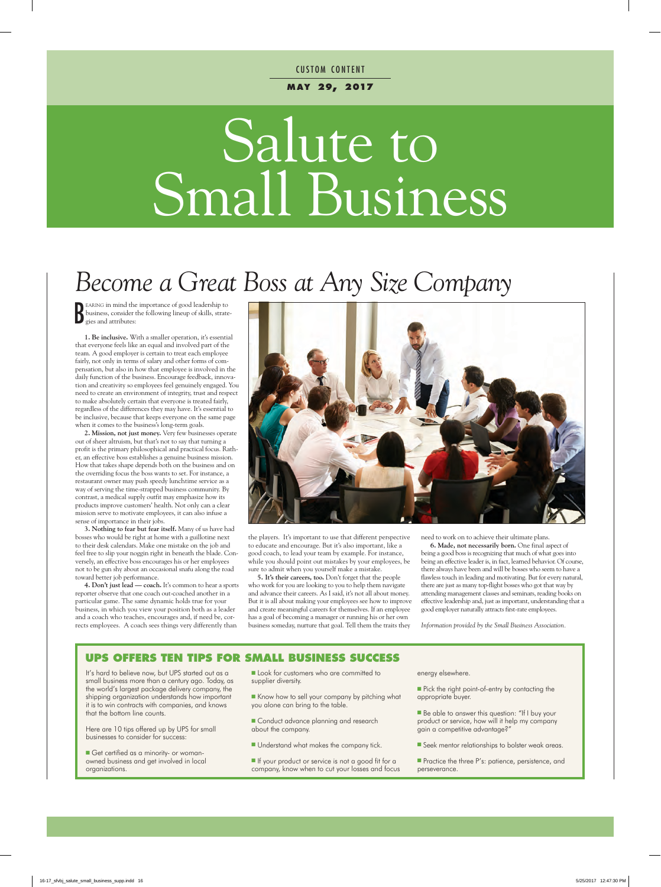#### **m ay 29, 2017 CUSTOM CONTENT**

# Salute to Small Business

## *Become a Great Boss at Any Size Company*

B earing in mind the importance of good leadership to business, consider the following lineup of skills, strategies and attributes:

**1. Be inclusive.** With a smaller operation, it's essential that everyone feels like an equal and involved part of the team. A good employer is certain to treat each employee fairly, not only in terms of salary and other forms of compensation, but also in how that employee is involved in the daily function of the business. Encourage feedback, innovation and creativity so employees feel genuinely engaged. You need to create an environment of integrity, trust and respect to make absolutely certain that everyone is treated fairly, regardless of the differences they may have. It's essential to be inclusive, because that keeps everyone on the same page when it comes to the business's long-term goals.

**2. Mission, not just money.** Very few businesses operate out of sheer altruism, but that's not to say that turning a profit is the primary philosophical and practical focus. Rather, an effective boss establishes a genuine business mission. How that takes shape depends both on the business and on the overriding focus the boss wants to set. For instance, a restaurant owner may push speedy lunchtime service as a way of serving the time-strapped business community. By contrast, a medical supply outfit may emphasize how its products improve customers' health. Not only can a clear mission serve to motivate employees, it can also infuse a sense of importance in their jobs.

**3. Nothing to fear but fear itself.** Many of us have had bosses who would be right at home with a guillotine next to their desk calendars. Make one mistake on the job and feel free to slip your noggin right in beneath the blade. Conversely, an effective boss encourages his or her employees not to be gun shy about an occasional snafu along the road toward better job performance.

**4. Don't just lead — coach.** It's common to hear a sports reporter observe that one coach out-coached another in a particular game. The same dynamic holds true for your business, in which you view your position both as a leader and a coach who teaches, encourages and, if need be, corrects employees. A coach sees things very differently than



the players. It's important to use that different perspective to educate and encourage. But it's also important, like a good coach, to lead your team by example. For instance, while you should point out mistakes by your employees, be sure to admit when you yourself make a mistake.

**5. It's their careers, too.** Don't forget that the people who work for you are looking to you to help them navigate and advance their careers. As I said, it's not all about money. But it is all about making your employees see how to improve and create meaningful careers for themselves. If an employee has a goal of becoming a manager or running his or her own business someday, nurture that goal. Tell them the traits they

need to work on to achieve their ultimate plans.

**6. Made, not necessarily born.** One final aspect of being a good boss is recognizing that much of what goes into being an effective leader is, in fact, learned behavior. Of course, there always have been and will be bosses who seem to have a flawless touch in leading and motivating. But for every natural, there are just as many top-flight bosses who got that way by attending management classes and seminars, reading books on effective leadership and, just as important, understanding that a good employer naturally attracts first-rate employees.

*Information provided by the Small Business Association.*

#### **UPS OFFERS TEN TIPS FOR SMALL BUSINESS SUCCESS**

It's hard to believe now, but UPS started out as a small business more than a century ago. Today, as the world's largest package delivery company, the shipping organization understands how important it is to win contracts with companies, and knows that the bottom line counts.

Here are 10 tips offered up by UPS for small businesses to consider for success:

**n** Get certified as a minority- or womanowned business and get involved in local organizations.

- **n** Look for customers who are committed to supplier diversity.
- Know how to sell your company by pitching what you alone can bring to the table.
- **n** Conduct advance planning and research about the company.
- **Understand what makes the company tick.**
- If your product or service is not a good fit for a company, know when to cut your losses and focus

energy elsewhere.

- Pick the right point-of-entry by contacting the appropriate buyer.
- Be able to answer this question: "If I buy your product or service, how will it help my company gain a competitive advantage?"
- **n** Seek mentor relationships to bolster weak areas.

**Practice the three P's: patience, persistence, and** perseverance.